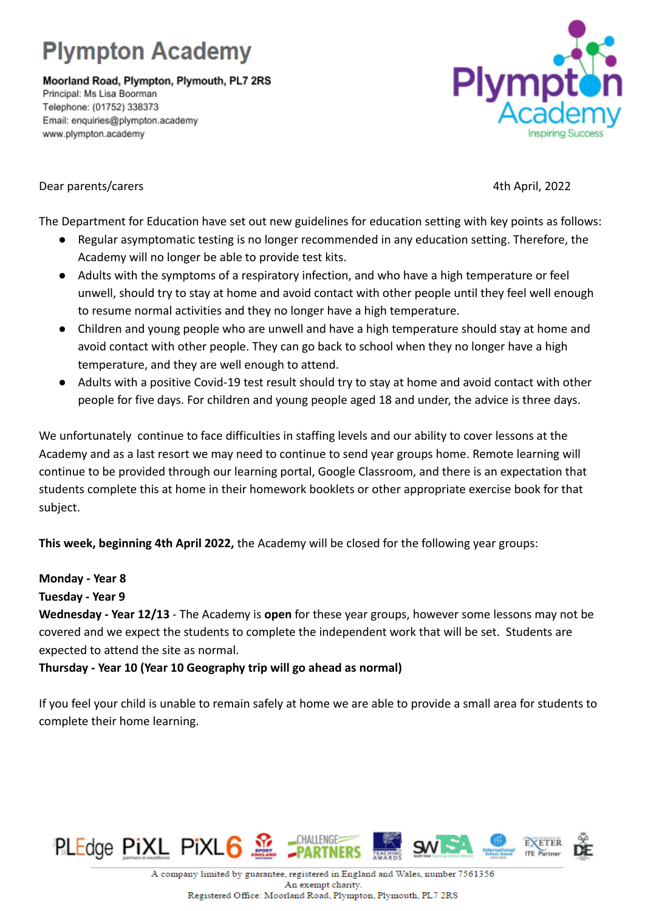## **Plympton Academy**

Moorland Road, Plympton, Plymouth, PL7 2RS Principal: Ms Lisa Boorman Telephone: (01752) 338373 Email: enquiries@plympton.academy www.plympton.academy



## Dear parents/carers 4th April, 2022

The Department for Education have set out new guidelines for education setting with key points as follows:

- Regular asymptomatic testing is no longer recommended in any education setting. Therefore, the Academy will no longer be able to provide test kits.
- Adults with the symptoms of a respiratory infection, and who have a high temperature or feel unwell, should try to stay at home and avoid contact with other people until they feel well enough to resume normal activities and they no longer have a high temperature.
- Children and young people who are unwell and have a high temperature should stay at home and avoid contact with other people. They can go back to school when they no longer have a high temperature, and they are well enough to attend.
- Adults with a positive Covid-19 test result should try to stay at home and avoid contact with other people for five days. For children and young people aged 18 and under, the advice is three days.

We unfortunately continue to face difficulties in staffing levels and our ability to cover lessons at the Academy and as a last resort we may need to continue to send year groups home. Remote learning will continue to be provided through our learning portal, Google Classroom, and there is an expectation that students complete this at home in their homework booklets or other appropriate exercise book for that subject.

**This week, beginning 4th April 2022,** the Academy will be closed for the following year groups:

## **Monday - Year 8**

**Tuesday - Year 9**

**Wednesday - Year 12/13** - The Academy is **open** for these year groups, however some lessons may not be covered and we expect the students to complete the independent work that will be set. Students are expected to attend the site as normal.

**Thursday - Year 10 (Year 10 Geography trip will go ahead as normal)**

If you feel your child is unable to remain safely at home we are able to provide a small area for students to complete their home learning.